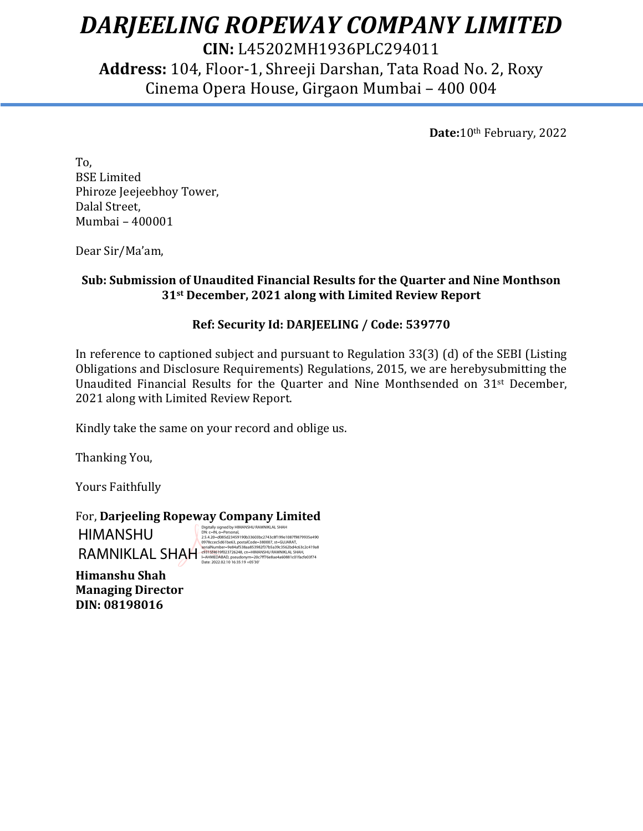# *DARJEELING ROPEWAY COMPANY LIMITED*

**CIN:** L45202MH1936PLC294011 **Address:** 104, Floor-1, Shreeji Darshan, Tata Road No. 2, Roxy Cinema Opera House, Girgaon Mumbai – 400 004

**Date:**10th February, 2022

To, BSE Limited Phiroze Jeejeebhoy Tower, Dalal Street, Mumbai – 400001

Dear Sir/Ma'am,

# **Sub: Submission of Unaudited Financial Results for the Quarter and Nine Monthson 31st December, 2021 along with Limited Review Report**

## **Ref: Security Id: DARJEELING / Code: 539770**

In reference to captioned subject and pursuant to Regulation 33(3) (d) of the SEBI (Listing Obligations and Disclosure Requirements) Regulations, 2015, we are herebysubmitting the Unaudited Financial Results for the Quarter and Nine Monthsended on 31<sup>st</sup> December, 2021 along with Limited Review Report.

Kindly take the same on your record and oblige us.

Thanking You,

Yours Faithfully

For, **Darjeeling Ropeway Company Limited**

HIMANSHU RAMNIKLAL SHAH

Digitally signed by HIMANSHU RAMNIKLAL SHAH<br>2.5 A.20 – dols 6234591 90b33603b2-743-63199e10879879935e490<br>0978ccec5d61be63, postalCode=380007, st=GUJARAT,<br>1978Ccec5d61be63, postalCode=380007, st=GUJARAT,<br>2031Sf&019102372624

**Himanshu Shah Managing Director DIN: 08198016**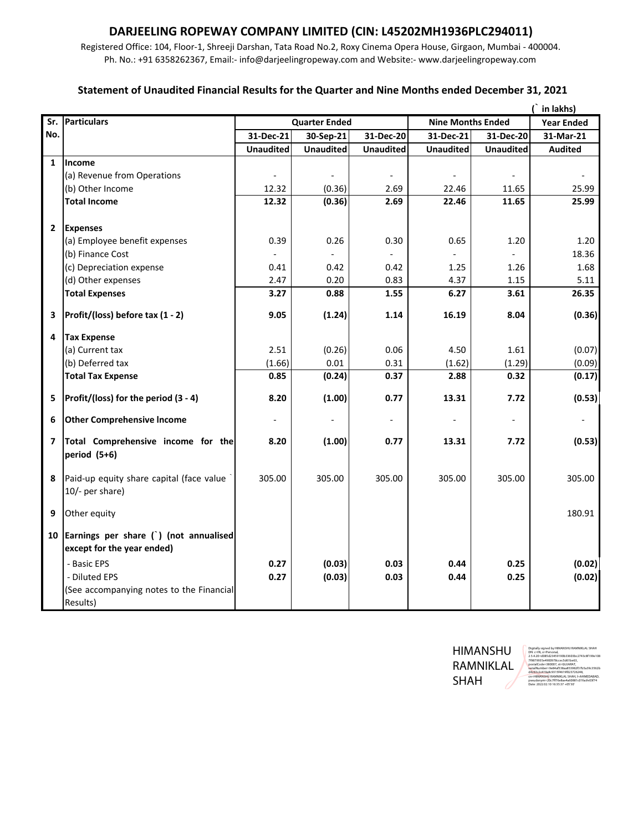# **DARJEELING ROPEWAY COMPANY LIMITED (CIN: L45202MH1936PLC294011)**

Registered Office: 104, Floor‐1, Shreeji Darshan, Tata Road No.2, Roxy Cinema Opera House, Girgaon, Mumbai ‐ 400004. Ph. No.: +91 6358262367, Email:‐ info@darjeelingropeway.com and Website:‐ www.darjeelingropeway.com

#### **Statement of Unaudited Financial Results for the Quarter and Nine Months ended December 31, 2021**

|                         |                                                                        |                      |                          |                  |                          |                          | in lakhs)         |
|-------------------------|------------------------------------------------------------------------|----------------------|--------------------------|------------------|--------------------------|--------------------------|-------------------|
|                         | Sr. Particulars                                                        | <b>Quarter Ended</b> |                          |                  | <b>Nine Months Ended</b> |                          | <b>Year Ended</b> |
| No.                     |                                                                        | 31-Dec-21            | 30-Sep-21                | 31-Dec-20        | 31-Dec-21                | 31-Dec-20                | 31-Mar-21         |
|                         |                                                                        | <b>Unaudited</b>     | <b>Unaudited</b>         | <b>Unaudited</b> | <b>Unaudited</b>         | <b>Unaudited</b>         | <b>Audited</b>    |
| 1                       | Income                                                                 |                      |                          |                  |                          |                          |                   |
|                         | (a) Revenue from Operations                                            |                      |                          |                  |                          |                          |                   |
|                         | (b) Other Income                                                       | 12.32                | (0.36)                   | 2.69             | 22.46                    | 11.65                    | 25.99             |
|                         | <b>Total Income</b>                                                    | 12.32                | (0.36)                   | 2.69             | 22.46                    | 11.65                    | 25.99             |
| $\overline{2}$          | <b>Expenses</b>                                                        |                      |                          |                  |                          |                          |                   |
|                         | (a) Employee benefit expenses                                          | 0.39                 | 0.26                     | 0.30             | 0.65                     | 1.20                     | 1.20              |
|                         | (b) Finance Cost                                                       | $\overline{a}$       | $\overline{\phantom{a}}$ | $\blacksquare$   | $\blacksquare$           | $\overline{\phantom{a}}$ | 18.36             |
|                         | (c) Depreciation expense                                               | 0.41                 | 0.42                     | 0.42             | 1.25                     | 1.26                     | 1.68              |
|                         | (d) Other expenses                                                     | 2.47                 | 0.20                     | 0.83             | 4.37                     | 1.15                     | 5.11              |
|                         | <b>Total Expenses</b>                                                  | 3.27                 | 0.88                     | 1.55             | 6.27                     | 3.61                     | 26.35             |
| 3                       | Profit/(loss) before tax (1 - 2)                                       | 9.05                 | (1.24)                   | 1.14             | 16.19                    | 8.04                     | (0.36)            |
| 4                       | <b>Tax Expense</b>                                                     |                      |                          |                  |                          |                          |                   |
|                         | (a) Current tax                                                        | 2.51                 | (0.26)                   | 0.06             | 4.50                     | 1.61                     | (0.07)            |
|                         | (b) Deferred tax                                                       | (1.66)               | 0.01                     | 0.31             | (1.62)                   | (1.29)                   | (0.09)            |
|                         | <b>Total Tax Expense</b>                                               | 0.85                 | (0.24)                   | 0.37             | 2.88                     | 0.32                     | (0.17)            |
| 5                       | Profit/(loss) for the period (3 - 4)                                   | 8.20                 | (1.00)                   | 0.77             | 13.31                    | 7.72                     | (0.53)            |
| 6                       | <b>Other Comprehensive Income</b>                                      |                      |                          |                  |                          |                          |                   |
| $\overline{\mathbf{z}}$ | Total Comprehensive income for the<br>period (5+6)                     | 8.20                 | (1.00)                   | 0.77             | 13.31                    | 7.72                     | (0.53)            |
| 8                       | Paid-up equity share capital (face value<br>10/- per share)            | 305.00               | 305.00                   | 305.00           | 305.00                   | 305.00                   | 305.00            |
| 9                       | Other equity                                                           |                      |                          |                  |                          |                          | 180.91            |
|                         | 10 Earnings per share () (not annualised<br>except for the year ended) |                      |                          |                  |                          |                          |                   |
|                         | - Basic EPS                                                            | 0.27                 | (0.03)                   | 0.03             | 0.44                     | 0.25                     | (0.02)            |
|                         | - Diluted EPS                                                          | 0.27                 | (0.03)                   | 0.03             | 0.44                     | 0.25                     | (0.02)            |
|                         | (See accompanying notes to the Financial<br>Results)                   |                      |                          |                  |                          |                          |                   |
|                         |                                                                        |                      |                          |                  |                          |                          |                   |

HIMANSHU RAMNIKLAL SHAH

Digitally signed by HIMANSHU RAMNIKLAL SHAH DN: c=IN, o=Personal, 2.5.4.20=d085d23459190b33603bc2743c8f199e108 7f9879935e4900978ccec5d61be63, postalCode=380007, st=GUJARAT, serialNumber=9e84af538aa853982f37b5a39c3562b d4c63c2c419a8c9315f4619f023726248, cn=HIMANSHU RAMNIKLAL SHAH, l=AHMEDABAD, pseudonym=20c7ff76e8ae4a60881c01facfe03f74 Date: 2022.02.10 16:35:37 +05'30'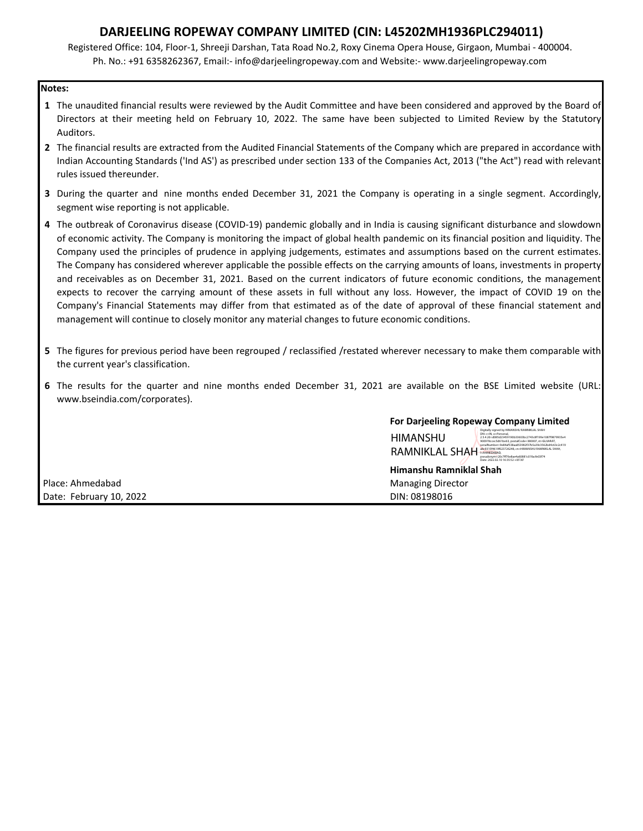### **DARJEELING ROPEWAY COMPANY LIMITED (CIN: L45202MH1936PLC294011)**

Registered Office: 104, Floor‐1, Shreeji Darshan, Tata Road No.2, Roxy Cinema Opera House, Girgaon, Mumbai ‐ 400004. Ph. No.: +91 6358262367, Email:‐ info@darjeelingropeway.com and Website:‐ www.darjeelingropeway.com

#### **Notes:**

- **1** The unaudited financial results were reviewed by the Audit Committee and have been considered and approved by the Board of Directors at their meeting held on February 10, 2022. The same have been subjected to Limited Review by the Statutory Auditors.
- **2** The financial results are extracted from the Audited Financial Statements of the Company which are prepared in accordance with Indian Accounting Standards ('Ind AS') as prescribed under section 133 of the Companies Act, 2013 ("the Act") read with relevant rules issued thereunder.
- **3** During the quarter and nine months ended December 31, 2021 the Company is operating in a single segment. Accordingly, segment wise reporting is not applicable.
- **4** The outbreak of Coronavirus disease (COVID‐19) pandemic globally and in India is causing significant disturbance and slowdown of economic activity. The Company is monitoring the impact of global health pandemic on its financial position and liquidity. The Company used the principles of prudence in applying judgements, estimates and assumptions based on the current estimates. The Company has considered wherever applicable the possible effects on the carrying amounts of loans, investments in property and receivables as on December 31, 2021. Based on the current indicators of future economic conditions, the management expects to recover the carrying amount of these assets in full without any loss. However, the impact of COVID 19 on the Company's Financial Statements may differ from that estimated as of the date of approval of these financial statement and management will continue to closely monitor any material changes to future economic conditions.
- **5** The figures for previous period have been regrouped / reclassified /restated wherever necessary to make them comparable with the current year's classification.
- **6** The results for the quarter and nine months ended December 31, 2021 are available on the BSE Limited website (URL: www.bseindia.com/corporates).

#### **For Darjeeling Ropeway Company Limited**

| <b>HIMANSHU</b><br>RAMNIKLAL SHAH | Digitally signed by HIMANSHU RAMNIKLAL SHAH<br>DN: c=IN. o=Personal.<br>2.54.20=085d23459190b33603bc2743c8f199e1087f9879935e4<br>900978ccec5d61be63.postalCode=380007.st=GUJARAT.<br>serialNumber=9e84af538aa853982f37b5a39c3562bd4c63c2c419<br>a8c9315f4619f023726248.cn=HIMANSHU RAMNIKLAL SHAH.<br>I=AHMEDABAD.<br>pseudonym=20c7ff76e8ae4a60881c01facfe03f74<br>Date: 2022.02.10 16:35:52 +05'30' |
|-----------------------------------|-------------------------------------------------------------------------------------------------------------------------------------------------------------------------------------------------------------------------------------------------------------------------------------------------------------------------------------------------------------------------------------------------------|
|-----------------------------------|-------------------------------------------------------------------------------------------------------------------------------------------------------------------------------------------------------------------------------------------------------------------------------------------------------------------------------------------------------------------------------------------------------|

Place: Ahmedabad Managing Director Communications and Managing Director Date: February 10, 2022 **Dines and September 2018** DIN: 08198016

**Himanshu Ramniklal Shah**